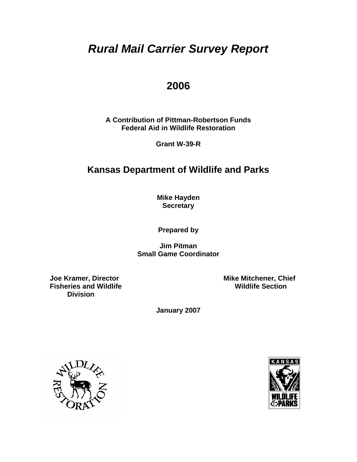# *Rural Mail Carrier Survey Report*

# **2006**

**A Contribution of Pittman-Robertson Funds Federal Aid in Wildlife Restoration** 

**Grant W-39-R** 

# **Kansas Department of Wildlife and Parks**

**Mike Hayden Secretary** 

**Prepared by** 

**Jim Pitman Small Game Coordinator** 

**Fisheries and Wildlife Division** 

 **Joe Kramer, Director Michouse Example 20 Accord Mike Mitchener, Chief Fisheries and Wildlife Section** 

**January 2007** 



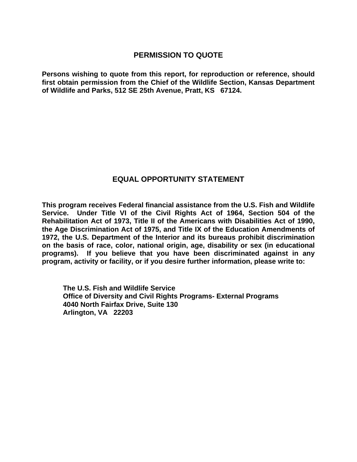### **PERMISSION TO QUOTE**

**Persons wishing to quote from this report, for reproduction or reference, should first obtain permission from the Chief of the Wildlife Section, Kansas Department of Wildlife and Parks, 512 SE 25th Avenue, Pratt, KS 67124.** 

### **EQUAL OPPORTUNITY STATEMENT**

**This program receives Federal financial assistance from the U.S. Fish and Wildlife Service. Under Title VI of the Civil Rights Act of 1964, Section 504 of the Rehabilitation Act of 1973, Title II of the Americans with Disabilities Act of 1990, the Age Discrimination Act of 1975, and Title IX of the Education Amendments of 1972, the U.S. Department of the Interior and its bureaus prohibit discrimination on the basis of race, color, national origin, age, disability or sex (in educational programs). If you believe that you have been discriminated against in any program, activity or facility, or if you desire further information, please write to:** 

**The U.S. Fish and Wildlife Service Office of Diversity and Civil Rights Programs- External Programs 4040 North Fairfax Drive, Suite 130 Arlington, VA 22203**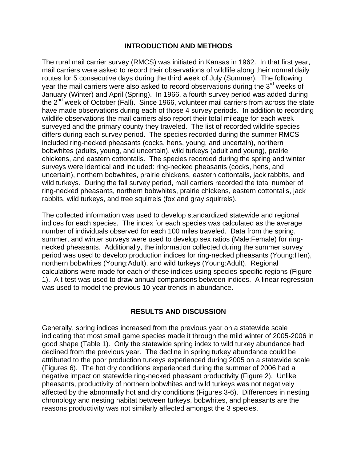#### **INTRODUCTION AND METHODS**

The rural mail carrier survey (RMCS) was initiated in Kansas in 1962. In that first year, mail carriers were asked to record their observations of wildlife along their normal daily routes for 5 consecutive days during the third week of July (Summer). The following year the mail carriers were also asked to record observations during the 3<sup>rd</sup> weeks of January (Winter) and April (Spring). In 1966, a fourth survey period was added during the  $2^{nd}$  week of October (Fall). Since 1966, volunteer mail carriers from across the state have made observations during each of those 4 survey periods. In addition to recording wildlife observations the mail carriers also report their total mileage for each week surveyed and the primary county they traveled. The list of recorded wildlife species differs during each survey period. The species recorded during the summer RMCS included ring-necked pheasants (cocks, hens, young, and uncertain), northern bobwhites (adults, young, and uncertain), wild turkeys (adult and young), prairie chickens, and eastern cottontails. The species recorded during the spring and winter surveys were identical and included: ring-necked pheasants (cocks, hens, and uncertain), northern bobwhites, prairie chickens, eastern cottontails, jack rabbits, and wild turkeys. During the fall survey period, mail carriers recorded the total number of ring-necked pheasants, northern bobwhites, prairie chickens, eastern cottontails, jack rabbits, wild turkeys, and tree squirrels (fox and gray squirrels).

The collected information was used to develop standardized statewide and regional indices for each species. The index for each species was calculated as the average number of individuals observed for each 100 miles traveled. Data from the spring, summer, and winter surveys were used to develop sex ratios (Male:Female) for ringnecked pheasants. Additionally, the information collected during the summer survey period was used to develop production indices for ring-necked pheasants (Young:Hen), northern bobwhites (Young:Adult), and wild turkeys (Young:Adult). Regional calculations were made for each of these indices using species-specific regions (Figure 1). A t-test was used to draw annual comparisons between indices. A linear regression was used to model the previous 10-year trends in abundance.

#### **RESULTS AND DISCUSSION**

Generally, spring indices increased from the previous year on a statewide scale indicating that most small game species made it through the mild winter of 2005-2006 in good shape (Table 1). Only the statewide spring index to wild turkey abundance had declined from the previous year. The decline in spring turkey abundance could be attributed to the poor production turkeys experienced during 2005 on a statewide scale (Figures 6). The hot dry conditions experienced during the summer of 2006 had a negative impact on statewide ring-necked pheasant productivity (Figure 2). Unlike pheasants, productivity of northern bobwhites and wild turkeys was not negatively affected by the abnormally hot and dry conditions (Figures 3-6). Differences in nesting chronology and nesting habitat between turkeys, bobwhites, and pheasants are the reasons productivity was not similarly affected amongst the 3 species.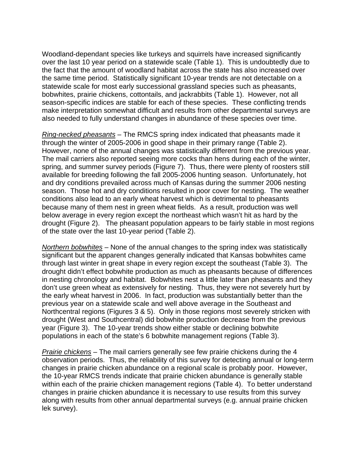Woodland-dependant species like turkeys and squirrels have increased significantly over the last 10 year period on a statewide scale (Table 1). This is undoubtedly due to the fact that the amount of woodland habitat across the state has also increased over the same time period. Statistically significant 10-year trends are not detectable on a statewide scale for most early successional grassland species such as pheasants, bobwhites, prairie chickens, cottontails, and jackrabbits (Table 1). However, not all season-specific indices are stable for each of these species. These conflicting trends make interpretation somewhat difficult and results from other departmental surveys are also needed to fully understand changes in abundance of these species over time.

*Ring-necked pheasants –* The RMCS spring index indicated that pheasants made it through the winter of 2005-2006 in good shape in their primary range (Table 2). However, none of the annual changes was statistically different from the previous year. The mail carriers also reported seeing more cocks than hens during each of the winter, spring, and summer survey periods (Figure 7). Thus, there were plenty of roosters still available for breeding following the fall 2005-2006 hunting season. Unfortunately, hot and dry conditions prevailed across much of Kansas during the summer 2006 nesting season. Those hot and dry conditions resulted in poor cover for nesting. The weather conditions also lead to an early wheat harvest which is detrimental to pheasants because many of them nest in green wheat fields. As a result, production was well below average in every region except the northeast which wasn't hit as hard by the drought (Figure 2). The pheasant population appears to be fairly stable in most regions of the state over the last 10-year period (Table 2).

*Northern bobwhites –* None of the annual changes to the spring index was statistically significant but the apparent changes generally indicated that Kansas bobwhites came through last winter in great shape in every region except the southeast (Table 3). The drought didn't effect bobwhite production as much as pheasants because of differences in nesting chronology and habitat. Bobwhites nest a little later than pheasants and they don't use green wheat as extensively for nesting. Thus, they were not severely hurt by the early wheat harvest in 2006. In fact, production was substantially better than the previous year on a statewide scale and well above average in the Southeast and Northcentral regions (Figures 3 & 5). Only in those regions most severely stricken with drought (West and Southcentral) did bobwhite production decrease from the previous year (Figure 3). The 10-year trends show either stable or declining bobwhite populations in each of the state's 6 bobwhite management regions (Table 3).

*Prairie chickens –* The mail carriers generally see few prairie chickens during the 4 observation periods. Thus, the reliability of this survey for detecting annual or long-term changes in prairie chicken abundance on a regional scale is probably poor. However, the 10-year RMCS trends indicate that prairie chicken abundance is generally stable within each of the prairie chicken management regions (Table 4). To better understand changes in prairie chicken abundance it is necessary to use results from this survey along with results from other annual departmental surveys (e.g. annual prairie chicken lek survey).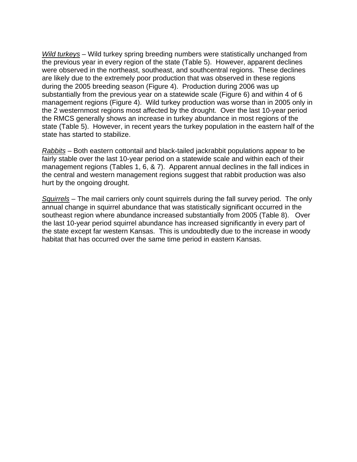*Wild turkeys* – Wild turkey spring breeding numbers were statistically unchanged from the previous year in every region of the state (Table 5). However, apparent declines were observed in the northeast, southeast, and southcentral regions. These declines are likely due to the extremely poor production that was observed in these regions during the 2005 breeding season (Figure 4). Production during 2006 was up substantially from the previous year on a statewide scale (Figure 6) and within 4 of 6 management regions (Figure 4). Wild turkey production was worse than in 2005 only in the 2 westernmost regions most affected by the drought. Over the last 10-year period the RMCS generally shows an increase in turkey abundance in most regions of the state (Table 5). However, in recent years the turkey population in the eastern half of the state has started to stabilize.

*Rabbits* – Both eastern cottontail and black-tailed jackrabbit populations appear to be fairly stable over the last 10-year period on a statewide scale and within each of their management regions (Tables 1, 6, & 7). Apparent annual declines in the fall indices in the central and western management regions suggest that rabbit production was also hurt by the ongoing drought.

*Squirrels* – The mail carriers only count squirrels during the fall survey period. The only annual change in squirrel abundance that was statistically significant occurred in the southeast region where abundance increased substantially from 2005 (Table 8). Over the last 10-year period squirrel abundance has increased significantly in every part of the state except far western Kansas. This is undoubtedly due to the increase in woody habitat that has occurred over the same time period in eastern Kansas.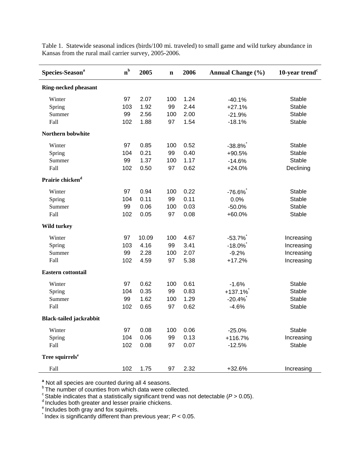| Species-Season <sup>a</sup>    | $n^{b}$ | 2005  | n   | 2006 | <b>Annual Change</b> (%) | 10-year trend $c$ |
|--------------------------------|---------|-------|-----|------|--------------------------|-------------------|
| <b>Ring-necked pheasant</b>    |         |       |     |      |                          |                   |
| Winter                         | 97      | 2.07  | 100 | 1.24 | $-40.1%$                 | <b>Stable</b>     |
| Spring                         | 103     | 1.92  | 99  | 2.44 | $+27.1%$                 | <b>Stable</b>     |
| Summer                         | 99      | 2.56  | 100 | 2.00 | $-21.9%$                 | <b>Stable</b>     |
| Fall                           | 102     | 1.88  | 97  | 1.54 | $-18.1%$                 | <b>Stable</b>     |
| Northern bobwhite              |         |       |     |      |                          |                   |
| Winter                         | 97      | 0.85  | 100 | 0.52 | $-38.8%$                 | Stable            |
| Spring                         | 104     | 0.21  | 99  | 0.40 | +90.5%                   | <b>Stable</b>     |
| Summer                         | 99      | 1.37  | 100 | 1.17 | $-14.6%$                 | <b>Stable</b>     |
| Fall                           | 102     | 0.50  | 97  | 0.62 | $+24.0%$                 | Declining         |
| Prairie chicken <sup>d</sup>   |         |       |     |      |                          |                   |
| Winter                         | 97      | 0.94  | 100 | 0.22 | $-76.6\%$                | <b>Stable</b>     |
| Spring                         | 104     | 0.11  | 99  | 0.11 | 0.0%                     | <b>Stable</b>     |
| Summer                         | 99      | 0.06  | 100 | 0.03 | $-50.0%$                 | <b>Stable</b>     |
| Fall                           | 102     | 0.05  | 97  | 0.08 | +60.0%                   | <b>Stable</b>     |
| <b>Wild turkey</b>             |         |       |     |      |                          |                   |
| Winter                         | 97      | 10.09 | 100 | 4.67 | $-53.7\%$                | Increasing        |
| Spring                         | 103     | 4.16  | 99  | 3.41 | $-18.0\%$                | Increasing        |
| Summer                         | 99      | 2.28  | 100 | 2.07 | $-9.2%$                  | Increasing        |
| Fall                           | 102     | 4.59  | 97  | 5.38 | $+17.2%$                 | Increasing        |
| <b>Eastern cottontail</b>      |         |       |     |      |                          |                   |
| Winter                         | 97      | 0.62  | 100 | 0.61 | $-1.6%$                  | Stable            |
| Spring                         | 104     | 0.35  | 99  | 0.83 | $+137.1%$                | <b>Stable</b>     |
| Summer                         | 99      | 1.62  | 100 | 1.29 | $-20.4%$                 | <b>Stable</b>     |
| Fall                           | 102     | 0.65  | 97  | 0.62 | $-4.6%$                  | <b>Stable</b>     |
| <b>Black-tailed jackrabbit</b> |         |       |     |      |                          |                   |
| Winter                         | 97      | 0.08  | 100 | 0.06 | $-25.0%$                 | Stable            |
| Spring                         | 104     | 0.06  | 99  | 0.13 | +116.7%                  | Increasing        |
| Fall                           | 102     | 0.08  | 97  | 0.07 | $-12.5%$                 | Stable            |
| Tree squirrels <sup>e</sup>    |         |       |     |      |                          |                   |
| Fall                           | 102     | 1.75  | 97  | 2.32 | +32.6%                   | Increasing        |

Table 1. Statewide seasonal indices (birds/100 mi. traveled) to small game and wild turkey abundance in Kansas from the rural mail carrier survey, 2005-2006.

**<sup>a</sup>** Not all species are counted during all 4 seasons.

<sup>b</sup> The number of counties from which data were collected.

 $\textdegree$ Stable indicates that a statistically significant trend was not detectable (*P* > 0.05).<br><sup>d</sup> Includes both greater and lesser prairie chickens.

<sup>e</sup> Includes both gray and fox squirrels.

\* Index is significantly different than previous year; *P* < 0.05.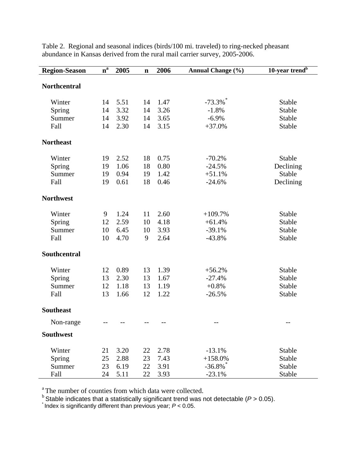| <b>Region-Season</b> | $n^a$ | 2005 | $\mathbf n$ | 2006 | <b>Annual Change (%)</b> | 10-year trend <sup>b</sup> |
|----------------------|-------|------|-------------|------|--------------------------|----------------------------|
| <b>Northcentral</b>  |       |      |             |      |                          |                            |
| Winter               | 14    | 5.51 | 14          | 1.47 | $-73.3\%$                | <b>Stable</b>              |
| Spring               | 14    | 3.32 | 14          | 3.26 | $-1.8%$                  | Stable                     |
| Summer               | 14    | 3.92 | 14          | 3.65 | $-6.9%$                  | Stable                     |
| Fall                 | 14    | 2.30 | 14          | 3.15 | $+37.0%$                 | <b>Stable</b>              |
| <b>Northeast</b>     |       |      |             |      |                          |                            |
| Winter               | 19    | 2.52 | 18          | 0.75 | $-70.2%$                 | Stable                     |
| Spring               | 19    | 1.06 | 18          | 0.80 | $-24.5%$                 | Declining                  |
| Summer               | 19    | 0.94 | 19          | 1.42 | $+51.1%$                 | Stable                     |
| Fall                 | 19    | 0.61 | 18          | 0.46 | $-24.6%$                 | Declining                  |
| <b>Northwest</b>     |       |      |             |      |                          |                            |
| Winter               | 9     | 1.24 | 11          | 2.60 | $+109.7%$                | <b>Stable</b>              |
| Spring               | 12    | 2.59 | 10          | 4.18 | $+61.4%$                 | Stable                     |
| Summer               | 10    | 6.45 | 10          | 3.93 | $-39.1%$                 | Stable                     |
| Fall                 | 10    | 4.70 | 9           | 2.64 | $-43.8%$                 | Stable                     |
| Southcentral         |       |      |             |      |                          |                            |
| Winter               | 12    | 0.89 | 13          | 1.39 | $+56.2%$                 | Stable                     |
| Spring               | 13    | 2.30 | 13          | 1.67 | $-27.4%$                 | Stable                     |
| Summer               | 12    | 1.18 | 13          | 1.19 | $+0.8%$                  | Stable                     |
| Fall                 | 13    | 1.66 | 12          | 1.22 | $-26.5%$                 | Stable                     |
| <b>Southeast</b>     |       |      |             |      |                          |                            |
| Non-range            | $-$   | --   | $-$         | --   | $- -$                    | $-$                        |
| <b>Southwest</b>     |       |      |             |      |                          |                            |
| Winter               | 21    | 3.20 | 22          | 2.78 | $-13.1%$                 | Stable                     |
| Spring               | 25    | 2.88 | 23          | 7.43 | $+158.0%$                | Stable                     |
| Summer               | 23    | 6.19 | 22          | 3.91 | $-36.8\%$                | Stable                     |
| Fall                 | 24    | 5.11 | 22          | 3.93 | $-23.1%$                 | Stable                     |

Table 2. Regional and seasonal indices (birds/100 mi. traveled) to ring-necked pheasant abundance in Kansas derived from the rural mail carrier survey, 2005-2006.

<sup>a</sup> The number of counties from which data were collected.

 $^{\rm b}$  Stable indicates that a statistically significant trend was not detectable ( $P$  > 0.05).

\* Index is significantly different than previous year; *P* < 0.05.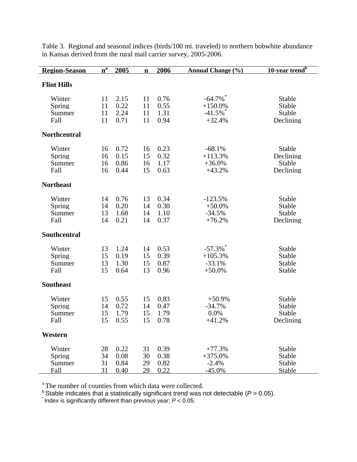| <b>Region-Season</b>               | $n^a$                | 2005                         | $\mathbf n$          | 2006                         | Annual Change (%)                               | $10$ -year trend <sup>b</sup>                  |
|------------------------------------|----------------------|------------------------------|----------------------|------------------------------|-------------------------------------------------|------------------------------------------------|
| <b>Flint Hills</b>                 |                      |                              |                      |                              |                                                 |                                                |
| Winter<br>Spring<br>Summer<br>Fall | 11<br>11<br>11<br>11 | 2.15<br>0.22<br>2.24<br>0.71 | 11<br>11<br>11<br>11 | 0.76<br>0.55<br>1.31<br>0.94 | $-64.7\%$<br>$+150.0%$<br>$-41.5\%$<br>$+32.4%$ | Stable<br>Stable<br>Stable<br>Declining        |
| <b>Northcentral</b>                |                      |                              |                      |                              |                                                 |                                                |
| Winter<br>Spring<br>Summer<br>Fall | 16<br>16<br>16<br>16 | 0.72<br>0.15<br>0.86<br>0.44 | 16<br>15<br>16<br>15 | 0.23<br>0.32<br>1.17<br>0.63 | $-68.1%$<br>$+113.3%$<br>$+36.0%$<br>$+43.2%$   | Stable<br>Declining<br>Stable<br>Declining     |
| <b>Northeast</b>                   |                      |                              |                      |                              |                                                 |                                                |
| Winter<br>Spring<br>Summer<br>Fall | 14<br>14<br>13<br>14 | 0.76<br>0.20<br>1.68<br>0.21 | 13<br>14<br>14<br>14 | 0.34<br>0.30<br>1.10<br>0.37 | $-123.5%$<br>$+50.0%$<br>$-34.5%$<br>$+76.2%$   | <b>Stable</b><br>Stable<br>Stable<br>Declining |
| Southcentral                       |                      |                              |                      |                              |                                                 |                                                |
| Winter<br>Spring<br>Summer<br>Fall | 13<br>15<br>13<br>15 | 1.24<br>0.19<br>1.30<br>0.64 | 14<br>15<br>15<br>13 | 0.53<br>0.39<br>0.87<br>0.96 | $-57.3\%$<br>$+105.3%$<br>$-33.1%$<br>$+50.0%$  | Stable<br>Stable<br>Stable<br>Stable           |
| <b>Southeast</b>                   |                      |                              |                      |                              |                                                 |                                                |
| Winter<br>Spring<br>Summer<br>Fall | 15<br>14<br>15<br>15 | 0.55<br>0.72<br>1.79<br>0.55 | 15<br>14<br>15<br>15 | 0.83<br>0.47<br>1.79<br>0.78 | $+50.9%$<br>$-34.7%$<br>0.0%<br>$+41.2%$        | Stable<br>Stable<br>Stable<br>Declining        |
| Western                            |                      |                              |                      |                              |                                                 |                                                |
| Winter<br>Spring<br>Summer<br>Fall | 28<br>34<br>31<br>31 | 0.22<br>0.08<br>0.84<br>0.40 | 31<br>30<br>29<br>29 | 0.39<br>0.38<br>0.82<br>0.22 | $+77.3%$<br>$+375.0%$<br>$-2.4%$<br>$-45.0%$    | Stable<br>Stable<br>Stable<br>Stable           |

Table 3. Regional and seasonal indices (birds/100 mi. traveled) to northern bobwhite abundance in Kansas derived from the rural mail carrier survey, 2005-2006.

<sup>a</sup> The number of counties from which data were collected.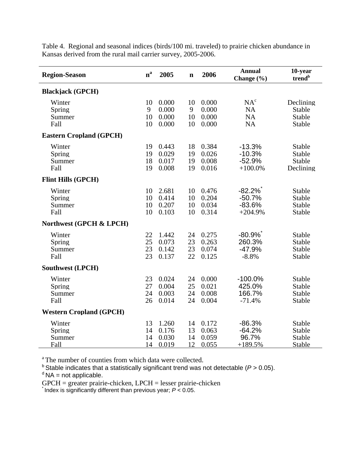| <b>Region-Season</b>               | $n^a$                | 2005                             | $\mathbf n$          | 2006                             | <b>Annual</b><br>Change (%)                     | 10-year<br>trend <sup>b</sup>           |  |
|------------------------------------|----------------------|----------------------------------|----------------------|----------------------------------|-------------------------------------------------|-----------------------------------------|--|
| <b>Blackjack</b> (GPCH)            |                      |                                  |                      |                                  |                                                 |                                         |  |
| Winter<br>Spring<br>Summer<br>Fall | 10<br>9<br>10<br>10  | 0.000<br>0.000<br>0.000<br>0.000 | 10<br>9<br>10<br>10  | 0.000<br>0.000<br>0.000<br>0.000 | NA <sup>c</sup><br><b>NA</b><br><b>NA</b><br>NA | Declining<br>Stable<br>Stable<br>Stable |  |
| <b>Eastern Cropland (GPCH)</b>     |                      |                                  |                      |                                  |                                                 |                                         |  |
| Winter<br>Spring<br>Summer<br>Fall | 19<br>19<br>18<br>19 | 0.443<br>0.029<br>0.017<br>0.008 | 18<br>19<br>19<br>19 | 0.384<br>0.026<br>0.008<br>0.016 | $-13.3%$<br>$-10.3%$<br>$-52.9%$<br>$+100.0\%$  | Stable<br>Stable<br>Stable<br>Declining |  |
| <b>Flint Hills (GPCH)</b>          |                      |                                  |                      |                                  |                                                 |                                         |  |
| Winter<br>Spring<br>Summer<br>Fall | 10<br>10<br>10<br>10 | 2.681<br>0.414<br>0.207<br>0.103 | 10<br>10<br>10<br>10 | 0.476<br>0.204<br>0.034<br>0.314 | $-82.2\%$<br>$-50.7%$<br>$-83.6%$<br>$+204.9%$  | Stable<br>Stable<br>Stable<br>Stable    |  |
| Northwest (GPCH & LPCH)            |                      |                                  |                      |                                  |                                                 |                                         |  |
| Winter<br>Spring<br>Summer<br>Fall | 22<br>25<br>23<br>23 | 1.442<br>0.073<br>0.142<br>0.137 | 24<br>23<br>23<br>22 | 0.275<br>0.263<br>0.074<br>0.125 | $-80.9\%$<br>260.3%<br>$-47.9%$<br>$-8.8%$      | Stable<br>Stable<br>Stable<br>Stable    |  |
| <b>Southwest (LPCH)</b>            |                      |                                  |                      |                                  |                                                 |                                         |  |
| Winter<br>Spring<br>Summer<br>Fall | 23<br>27<br>24<br>26 | 0.024<br>0.004<br>0.003<br>0.014 | 24<br>25<br>24<br>24 | 0.000<br>0.021<br>0.008<br>0.004 | $-100.0%$<br>425.0%<br>166.7%<br>$-71.4%$       | Stable<br>Stable<br>Stable<br>Stable    |  |
| <b>Western Cropland (GPCH)</b>     |                      |                                  |                      |                                  |                                                 |                                         |  |
| Winter<br>Spring<br>Summer<br>Fall | 13<br>14<br>14<br>14 | 1.260<br>0.176<br>0.030<br>0.019 | 14<br>13<br>14<br>12 | 0.172<br>0.063<br>0.059<br>0.055 | $-86.3%$<br>$-64.2%$<br>96.7%<br>$+189.5%$      | Stable<br>Stable<br>Stable<br>Stable    |  |

Table 4. Regional and seasonal indices (birds/100 mi. traveled) to prairie chicken abundance in Kansas derived from the rural mail carrier survey, 2005-2006.

<sup>a</sup> The number of counties from which data were collected.

<sup>b</sup> Stable indicates that a statistically significant trend was not detectable (*P* > 0.05).  $d$  NA = not applicable.

GPCH = greater prairie-chicken, LPCH = lesser prairie-chicken \* Index is significantly different than previous year; *P* < 0.05.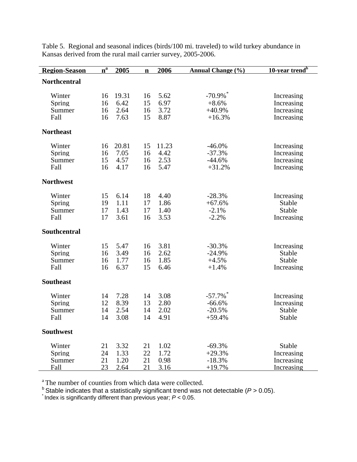| <b>Region-Season</b>               | $n^a$                | 2005                          | $\mathbf n$          | 2006                          | <b>Annual Change (%)</b>                                  | 10-year trend <sup>b</sup>                           |
|------------------------------------|----------------------|-------------------------------|----------------------|-------------------------------|-----------------------------------------------------------|------------------------------------------------------|
| <b>Northcentral</b>                |                      |                               |                      |                               |                                                           |                                                      |
| Winter<br>Spring<br>Summer<br>Fall | 16<br>16<br>16<br>16 | 19.31<br>6.42<br>2.64<br>7.63 | 16<br>15<br>16<br>15 | 5.62<br>6.97<br>3.72<br>8.87  | $-70.9\%$ <sup>*</sup><br>$+8.6%$<br>$+40.9%$<br>$+16.3%$ | Increasing<br>Increasing<br>Increasing<br>Increasing |
| <b>Northeast</b>                   |                      |                               |                      |                               |                                                           |                                                      |
| Winter<br>Spring<br>Summer<br>Fall | 16<br>16<br>15<br>16 | 20.81<br>7.05<br>4.57<br>4.17 | 15<br>16<br>16<br>16 | 11.23<br>4.42<br>2.53<br>5.47 | $-46.0%$<br>$-37.3%$<br>$-44.6%$<br>$+31.2%$              | Increasing<br>Increasing<br>Increasing<br>Increasing |
| <b>Northwest</b>                   |                      |                               |                      |                               |                                                           |                                                      |
| Winter<br>Spring<br>Summer<br>Fall | 15<br>19<br>17<br>17 | 6.14<br>1.11<br>1.43<br>3.61  | 18<br>17<br>17<br>16 | 4.40<br>1.86<br>1.40<br>3.53  | $-28.3%$<br>$+67.6%$<br>$-2.1%$<br>$-2.2%$                | Increasing<br>Stable<br>Stable<br>Increasing         |
| <b>Southcentral</b>                |                      |                               |                      |                               |                                                           |                                                      |
| Winter<br>Spring<br>Summer<br>Fall | 15<br>16<br>16<br>16 | 5.47<br>3.49<br>1.77<br>6.37  | 16<br>16<br>16<br>15 | 3.81<br>2.62<br>1.85<br>6.46  | $-30.3%$<br>$-24.9%$<br>$+4.5%$<br>$+1.4%$                | Increasing<br>Stable<br>Stable<br>Increasing         |
| <b>Southeast</b>                   |                      |                               |                      |                               |                                                           |                                                      |
| Winter<br>Spring<br>Summer<br>Fall | 14<br>12<br>14<br>14 | 7.28<br>8.39<br>2.54<br>3.08  | 14<br>13<br>14<br>14 | 3.08<br>2.80<br>2.02<br>4.91  | $-57.7\%$<br>$-66.6%$<br>$-20.5%$<br>$+59.4%$             | Increasing<br>Increasing<br>Stable<br>Stable         |
| <b>Southwest</b>                   |                      |                               |                      |                               |                                                           |                                                      |
| Winter<br>Spring<br>Summer<br>Fall | 21<br>24<br>21<br>23 | 3.32<br>1.33<br>1.20<br>2.64  | 21<br>22<br>21<br>21 | 1.02<br>1.72<br>0.98<br>3.16  | $-69.3%$<br>$+29.3%$<br>$-18.3%$<br>$+19.7%$              | Stable<br>Increasing<br>Increasing<br>Increasing     |

Table 5. Regional and seasonal indices (birds/100 mi. traveled) to wild turkey abundance in Kansas derived from the rural mail carrier survey, 2005-2006.

<sup>a</sup> The number of counties from which data were collected.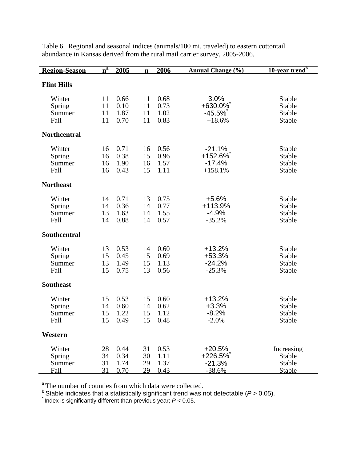| <b>Region-Season</b>               | $\overline{\mathbf{n}}^{\overline{\mathbf{a}}}$ | 2005                         | $\mathbf n$          | 2006                         | <b>Annual Change (%)</b>                      | 10-year trend <sup>b</sup>                         |
|------------------------------------|-------------------------------------------------|------------------------------|----------------------|------------------------------|-----------------------------------------------|----------------------------------------------------|
| <b>Flint Hills</b>                 |                                                 |                              |                      |                              |                                               |                                                    |
| Winter<br>Spring<br>Summer<br>Fall | 11<br>11<br>11<br>11                            | 0.66<br>0.10<br>1.87<br>0.70 | 11<br>11<br>11<br>11 | 0.68<br>0.73<br>1.02<br>0.83 | 3.0%<br>$+630.0\%$<br>$-45.5%$<br>$+18.6%$    | <b>Stable</b><br>Stable<br>Stable<br>Stable        |
| <b>Northcentral</b>                |                                                 |                              |                      |                              |                                               |                                                    |
| Winter<br>Spring<br>Summer<br>Fall | 16<br>16<br>16<br>16                            | 0.71<br>0.38<br>1.90<br>0.43 | 16<br>15<br>16<br>15 | 0.56<br>0.96<br>1.57<br>1.11 | $-21.1%$<br>+152.6%<br>$-17.4%$<br>$+158.1%$  | Stable<br>Stable<br>Stable<br>Stable               |
| <b>Northeast</b>                   |                                                 |                              |                      |                              |                                               |                                                    |
| Winter<br>Spring<br>Summer<br>Fall | 14<br>14<br>13<br>14                            | 0.71<br>0.36<br>1.63<br>0.88 | 13<br>14<br>14<br>14 | 0.75<br>0.77<br>1.55<br>0.57 | $+5.6%$<br>+113.9%<br>$-4.9%$<br>$-35.2%$     | <b>Stable</b><br><b>Stable</b><br>Stable<br>Stable |
| <b>Southcentral</b>                |                                                 |                              |                      |                              |                                               |                                                    |
| Winter<br>Spring<br>Summer<br>Fall | 13<br>15<br>13<br>15                            | 0.53<br>0.45<br>1.49<br>0.75 | 14<br>15<br>15<br>13 | 0.60<br>0.69<br>1.13<br>0.56 | $+13.2%$<br>+53.3%<br>$-24.2%$<br>$-25.3%$    | <b>Stable</b><br><b>Stable</b><br>Stable<br>Stable |
| <b>Southeast</b>                   |                                                 |                              |                      |                              |                                               |                                                    |
| Winter<br>Spring<br>Summer<br>Fall | 15<br>14<br>15<br>15                            | 0.53<br>0.60<br>1.22<br>0.49 | 15<br>14<br>15<br>15 | 0.60<br>0.62<br>1.12<br>0.48 | $+13.2%$<br>$+3.3%$<br>$-8.2%$<br>$-2.0%$     | Stable<br>Stable<br>Stable<br>Stable               |
| Western                            |                                                 |                              |                      |                              |                                               |                                                    |
| Winter<br>Spring<br>Summer<br>Fall | 28<br>34<br>31<br>31                            | 0.44<br>0.34<br>1.74<br>0.70 | 31<br>30<br>29<br>29 | 0.53<br>1.11<br>1.37<br>0.43 | $+20.5%$<br>$+226.5%$<br>$-21.3%$<br>$-38.6%$ | Increasing<br>Stable<br>Stable<br>Stable           |

Table 6. Regional and seasonal indices (animals/100 mi. traveled) to eastern cottontail abundance in Kansas derived from the rural mail carrier survey, 2005-2006.

<sup>a</sup> The number of counties from which data were collected.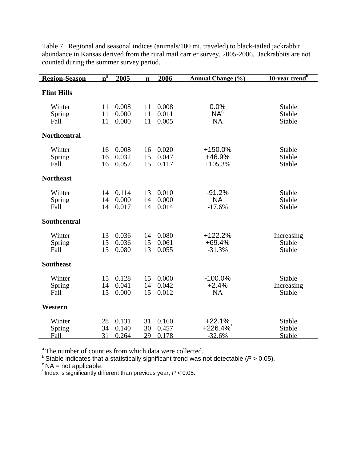| <b>Region-Season</b>     | $n^a$          | 2005                    | $\mathbf n$    | 2006                    | <b>Annual Change</b> (%)             | 10-year trend <sup>b</sup>            |
|--------------------------|----------------|-------------------------|----------------|-------------------------|--------------------------------------|---------------------------------------|
| <b>Flint Hills</b>       |                |                         |                |                         |                                      |                                       |
| Winter<br>Spring<br>Fall | 11<br>11<br>11 | 0.008<br>0.000<br>0.000 | 11<br>11<br>11 | 0.008<br>0.011<br>0.005 | 0.0%<br>NA <sup>c</sup><br><b>NA</b> | Stable<br>Stable<br>Stable            |
| <b>Northcentral</b>      |                |                         |                |                         |                                      |                                       |
| Winter<br>Spring<br>Fall | 16<br>16<br>16 | 0.008<br>0.032<br>0.057 | 16<br>15<br>15 | 0.020<br>0.047<br>0.117 | +150.0%<br>+46.9%<br>$+105.3%$       | Stable<br>Stable<br>Stable            |
| <b>Northeast</b>         |                |                         |                |                         |                                      |                                       |
| Winter<br>Spring<br>Fall | 14<br>14<br>14 | 0.114<br>0.000<br>0.017 | 13<br>14<br>14 | 0.010<br>0.000<br>0.014 | $-91.2%$<br><b>NA</b><br>$-17.6%$    | Stable<br>Stable<br>Stable            |
| Southcentral             |                |                         |                |                         |                                      |                                       |
| Winter<br>Spring<br>Fall | 13<br>15<br>15 | 0.036<br>0.036<br>0.080 | 14<br>15<br>13 | 0.080<br>0.061<br>0.055 | $+122.2%$<br>+69.4%<br>$-31.3%$      | Increasing<br><b>Stable</b><br>Stable |
| <b>Southeast</b>         |                |                         |                |                         |                                      |                                       |
| Winter<br>Spring<br>Fall | 15<br>14<br>15 | 0.128<br>0.041<br>0.000 | 15<br>14<br>15 | 0.000<br>0.042<br>0.012 | $-100.0%$<br>$+2.4%$<br><b>NA</b>    | Stable<br>Increasing<br>Stable        |
| Western                  |                |                         |                |                         |                                      |                                       |
| Winter<br>Spring<br>Fall | 28<br>34<br>31 | 0.131<br>0.140<br>0.264 | 31<br>30<br>29 | 0.160<br>0.457<br>0.178 | $+22.1%$<br>$+226.4%$<br>$-32.6%$    | Stable<br>Stable<br>Stable            |

Table 7. Regional and seasonal indices (animals/100 mi. traveled) to black-tailed jackrabbit abundance in Kansas derived from the rural mail carrier survey, 2005-2006. Jackrabbits are not counted during the summer survey period.

<sup>a</sup> The number of counties from which data were collected.

 $^{\text{b}}$  Stable indicates that a statistically significant trend was not detectable (*P* > 0.05).<br><sup>c</sup> NA = not applicable.

 $^{\circ}$  NA = not applicable.<br>
<sup>\*</sup> Index is significantly different than previous year;  $P < 0.05$ .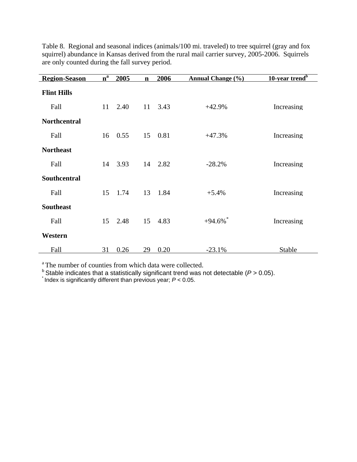| <b>Region-Season</b> | $n^a$ | 2005 | $\mathbf n$ | 2006    | <b>Annual Change</b> (%) | 10-year trend <sup>b</sup> |
|----------------------|-------|------|-------------|---------|--------------------------|----------------------------|
| <b>Flint Hills</b>   |       |      |             |         |                          |                            |
| Fall                 | 11    | 2.40 | 11          | 3.43    | $+42.9%$                 | Increasing                 |
| <b>Northcentral</b>  |       |      |             |         |                          |                            |
| Fall                 | 16    | 0.55 | 15          | 0.81    | $+47.3%$                 | Increasing                 |
| <b>Northeast</b>     |       |      |             |         |                          |                            |
| Fall                 | 14    | 3.93 |             | 14 2.82 | $-28.2%$                 | Increasing                 |
| <b>Southcentral</b>  |       |      |             |         |                          |                            |
| Fall                 | 15    | 1.74 | 13          | 1.84    | $+5.4%$                  | Increasing                 |
| <b>Southeast</b>     |       |      |             |         |                          |                            |
| Fall                 | 15    | 2.48 |             | 15 4.83 | $+94.6\%$ <sup>*</sup>   | Increasing                 |
| Western              |       |      |             |         |                          |                            |
| Fall                 | 31    | 0.26 | 29          | 0.20    | $-23.1%$                 | <b>Stable</b>              |

Table 8. Regional and seasonal indices (animals/100 mi. traveled) to tree squirrel (gray and fox squirrel) abundance in Kansas derived from the rural mail carrier survey, 2005-2006. Squirrels are only counted during the fall survey period.

<sup>a</sup> The number of counties from which data were collected.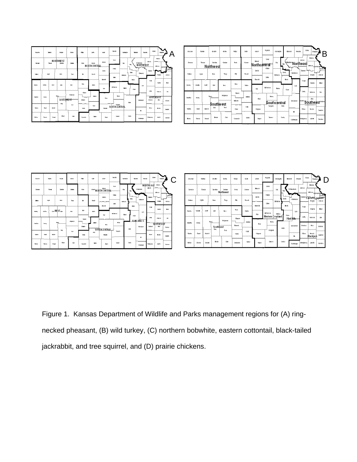| А       | Cleane         | Pawho                | Decator                                        | No rios        | PHING                   | 910      | Jewell                        | <b>Republic</b>   | Washingto         | Marial              | Nemata       | Source               | Doubleau                           | R                        |
|---------|----------------|----------------------|------------------------------------------------|----------------|-------------------------|----------|-------------------------------|-------------------|-------------------|---------------------|--------------|----------------------|------------------------------------|--------------------------|
|         | Steman         | Thomas               | Sie 65a<br>Northwest                           | Graham         | <b>Rooks</b>            | Octobe   | <b>URSell</b><br>Northcentral | Cloud<br>otaga    | CDV<br><b>RIN</b> | Northeast<br>يبمة   |              | Jackson              | Atitor<br>Jeff not passed the      |                          |
| ы.<br>М | Watace         | Logan                | Gave                                           | Tiego          | ER                      | Passell  | Lison<br><b>Braoth</b>        | <b>Sales</b>      | Distance          | Geau<br><b>Mort</b> | Visitos sono | Shawnee <sup>4</sup> | <b>IND</b><br>ронды                | <b>Marito</b><br>2001009 |
|         | Geeky          | <b>Sort</b><br>World | Lare                                           | less.          | Pash                    | farba    | <b>Fire</b>                   | <b>BOP lettos</b> | <b>Blades</b>     | Chase               | box          | 0430t<br>Coffey      | Franklin                           | Man I                    |
|         | <b>Ranifon</b> | <b>Reany</b>         | Brev                                           | Hockjem Ja     | Pawree<br><b>Bisark</b> | Stafford | Re ap-                        | Haney             | Southcentral      |                     | Geermood     |                      | Anderson<br>Alb a<br>Southeast mon | <b>UH</b>                |
|         | Status         | Gait                 | Southwest<br>G <sub>B/</sub><br><b>Hackett</b> | <b>Road</b>    | klass                   | Profit   | Elegman                       | Sedgelob          | Sutter            |                     | B.           | Wilson               | Neccio                             | Crambid                  |
|         | No rice        | Street               | <b>Directo</b><br>Seward                       | C <sub>0</sub> | Comarche                | Earter   | Haper                         | Sunner            | Coxty             |                     | ставлена     | <b>Butoney</b>       | Labette                            | Chentee                  |





| С | Geene         |               | Pawlus      | Decator                   | No rios             | PHILIPS                  | Sub     | Jewell         | Republic                  | Washigto  |             | Maghall<br><b>Nemata</b> | \$ row a        | Doubleau                                                               |                                |
|---|---------------|---------------|-------------|---------------------------|---------------------|--------------------------|---------|----------------|---------------------------|-----------|-------------|--------------------------|-----------------|------------------------------------------------------------------------|--------------------------------|
|   | Steman        |               | Thomas      | Sie Mai                   | Graham<br>Northwest | Rocks                    | Ostone  | <b>MICHEL</b>  | Cbut                      | Clay      | File,       | Pottagaton le            | Jackson         | Ataton<br>Jete son place and                                           |                                |
|   | Water         | Logan         |             | Gone                      | Tiego               | <b>EIN</b>               | Passell | Liscon         | ottara<br>Salle           | Distances | Grav        | Wabarrore                |                 | <sup>saaree</sup> Eastern C <sub>h</sub> oplan <del>d</del><br>Douglas | <i><b>Harbo</b></i><br>3011509 |
|   | Geeky         | <b>Westa</b>  | <b>Soft</b> | Lare                      | Ne ss               | Past                     | Barb a  | Ekwoth<br>Pice | <b>DEP TEROS</b>          | Marks 1   | <b>Mont</b> | byte                     | Osage           | Frank Tu                                                               | <b>Bant</b>                    |
|   | Han Roy       | <b>Rany</b>   |             | Fluev<br><b>Southwest</b> | Hodgem an           | Paurree<br><b>Barada</b> | Statted | Re po          | Western Cropland<br>Rapev |           | Clase       | Flint Hills<br>Geenwood  | Cothy<br>Wooker | Aademon<br>Alba                                                        | Un<br>Sou trou                 |
|   | Statu         | Gait          | Haskell     | GBV                       | Ford                | Klara                    | 9 pitt  | <b>Hagaan</b>  | Sedgelst                  |           | Sttb:       | в.                       | WRon            | Neosko<br>Blackjack                                                    | Crawbat                        |
|   | <b>No dos</b> | <b>Strong</b> | Svaati      | the ada                   | CBK                 | Conarche                 | Batte r | Haper          | Smer                      |           | Cowby       | Clartiqua                | Montpomery      | Libeth                                                                 | Cheskee                        |

Figure 1. Kansas Department of Wildlife and Parks management regions for (A) ringnecked pheasant, (B) wild turkey, (C) northern bobwhite, eastern cottontail, black-tailed jackrabbit, and tree squirrel, and (D) prairie chickens.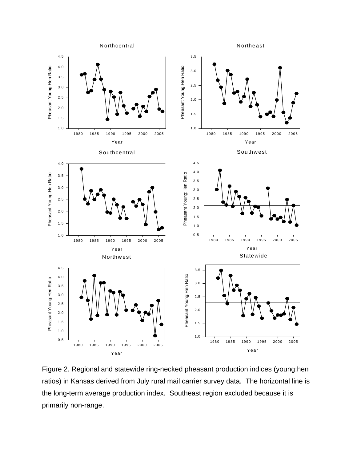

Figure 2. Regional and statewide ring-necked pheasant production indices (young:hen ratios) in Kansas derived from July rural mail carrier survey data. The horizontal line is the long-term average production index. Southeast region excluded because it is primarily non-range.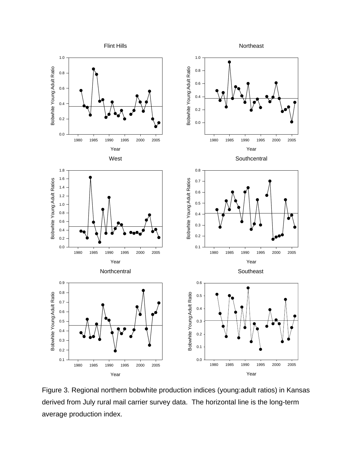

Figure 3. Regional northern bobwhite production indices (young:adult ratios) in Kansas derived from July rural mail carrier survey data. The horizontal line is the long-term average production index.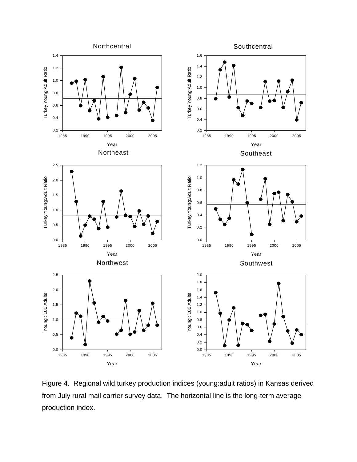

Figure 4. Regional wild turkey production indices (young:adult ratios) in Kansas derived from July rural mail carrier survey data. The horizontal line is the long-term average production index.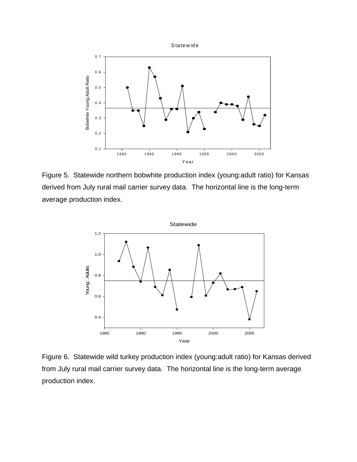



Figure 5. Statewide northern bobwhite production index (young:adult ratio) for Kansas derived from July rural mail carrier survey data. The horizontal line is the long-term average production index.



Figure 6. Statewide wild turkey production index (young:adult ratio) for Kansas derived from July rural mail carrier survey data. The horizontal line is the long-term average production index.